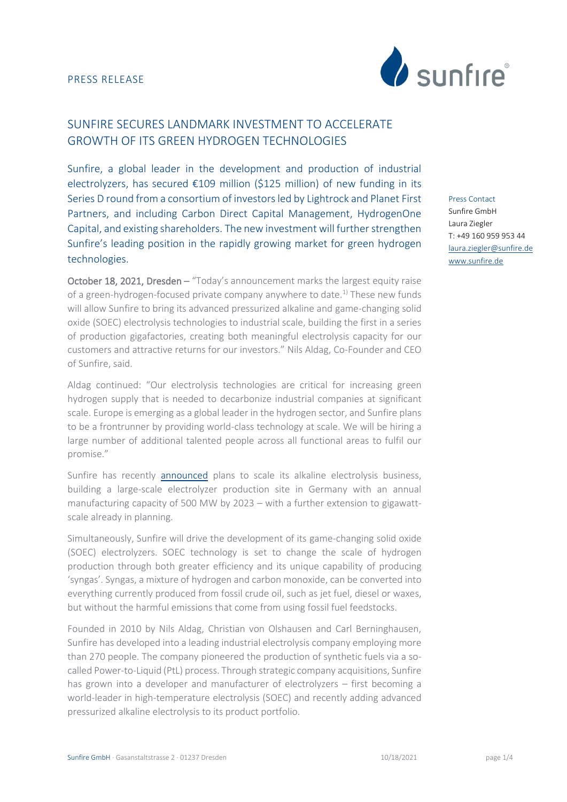

# SUNFIRE SECURES LANDMARK INVESTMENT TO ACCELERATE GROWTH OF ITS GREEN HYDROGEN TECHNOLOGIES

Sunfire, a global leader in the development and production of industrial electrolyzers, has secured €109 million (\$125 million) of new funding in its Series D round from a consortium of investors led by Lightrock and Planet First Partners, and including Carbon Direct Capital Management, HydrogenOne Capital, and existing shareholders. The new investment will further strengthen Sunfire's leading position in the rapidly growing market for green hydrogen technologies.

October 18, 2021, Dresden – "Today's announcement marks the largest equity raise of a green-hydrogen-focused private company anywhere to date.<sup>1)</sup> These new funds will allow Sunfire to bring its advanced pressurized alkaline and game-changing solid oxide (SOEC) electrolysis technologies to industrial scale, building the first in a series of production gigafactories, creating both meaningful electrolysis capacity for our customers and attractive returns for our investors." Nils Aldag, Co-Founder and CEO of Sunfire, said.

Aldag continued: "Our electrolysis technologies are critical for increasing green hydrogen supply that is needed to decarbonize industrial companies at significant scale. Europe is emerging as a global leader in the hydrogen sector, and Sunfire plans to be a frontrunner by providing world-class technology at scale. We will be hiring a large number of additional talented people across all functional areas to fulfil our promise."

Sunfire has recently [announced](https://www.sunfire.de/en/news/detail/sunfire-to-industrialize-alkaline-electrolysis-increasing-production-capacity-to-500-mw-year-by-2023) plans to scale its alkaline electrolysis business, building a large-scale electrolyzer production site in Germany with an annual manufacturing capacity of 500 MW by 2023 – with a further extension to gigawattscale already in planning.

Simultaneously, Sunfire will drive the development of its game-changing solid oxide (SOEC) electrolyzers. SOEC technology is set to change the scale of hydrogen production through both greater efficiency and its unique capability of producing 'syngas'. Syngas, a mixture of hydrogen and carbon monoxide, can be converted into everything currently produced from fossil crude oil, such as jet fuel, diesel or waxes, but without the harmful emissions that come from using fossil fuel feedstocks.

Founded in 2010 by Nils Aldag, Christian von Olshausen and Carl Berninghausen, Sunfire has developed into a leading industrial electrolysis company employing more than 270 people. The company pioneered the production of synthetic fuels via a socalled Power-to-Liquid (PtL) process. Through strategic company acquisitions, Sunfire has grown into a developer and manufacturer of electrolyzers – first becoming a world-leader in high-temperature electrolysis (SOEC) and recently adding advanced pressurized alkaline electrolysis to its product portfolio.

Press Contact Sunfire GmbH Laura Ziegler T: +49 160 959 953 44 [laura.ziegler@sunfire.de](mailto:laura.ziegler@sunfire.de) [www.sunfire.de](http://www.sunfire.de/)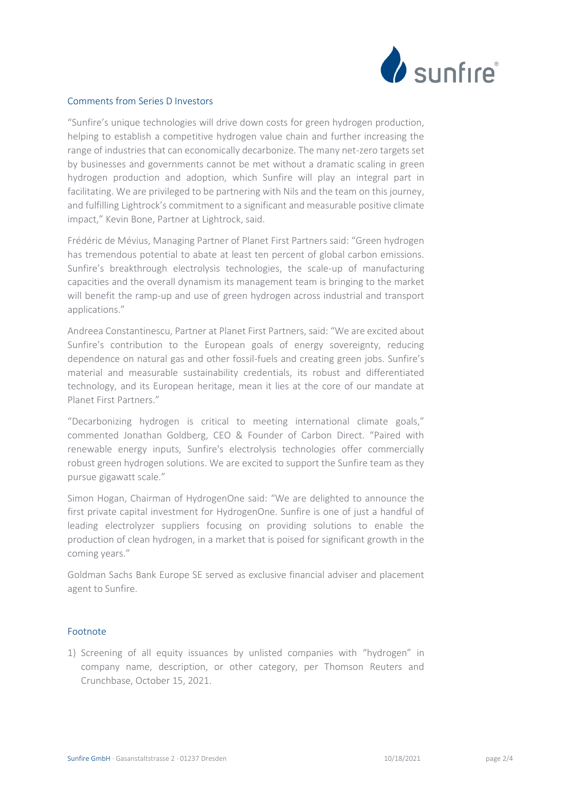

### Comments from Series D Investors

"Sunfire's unique technologies will drive down costs for green hydrogen production, helping to establish a competitive hydrogen value chain and further increasing the range of industries that can economically decarbonize. The many net-zero targets set by businesses and governments cannot be met without a dramatic scaling in green hydrogen production and adoption, which Sunfire will play an integral part in facilitating. We are privileged to be partnering with Nils and the team on this journey, and fulfilling Lightrock's commitment to a significant and measurable positive climate impact," Kevin Bone, Partner at Lightrock, said.

Frédéric de Mévius, Managing Partner of Planet First Partners said: "Green hydrogen has tremendous potential to abate at least ten percent of global carbon emissions. Sunfire's breakthrough electrolysis technologies, the scale-up of manufacturing capacities and the overall dynamism its management team is bringing to the market will benefit the ramp-up and use of green hydrogen across industrial and transport applications."

Andreea Constantinescu, Partner at Planet First Partners, said: "We are excited about Sunfire's contribution to the European goals of energy sovereignty, reducing dependence on natural gas and other fossil-fuels and creating green jobs. Sunfire's material and measurable sustainability credentials, its robust and differentiated technology, and its European heritage, mean it lies at the core of our mandate at Planet First Partners."

"Decarbonizing hydrogen is critical to meeting international climate goals," commented Jonathan Goldberg, CEO & Founder of Carbon Direct. "Paired with renewable energy inputs, Sunfire's electrolysis technologies offer commercially robust green hydrogen solutions. We are excited to support the Sunfire team as they pursue gigawatt scale."

Simon Hogan, Chairman of HydrogenOne said: "We are delighted to announce the first private capital investment for HydrogenOne. Sunfire is one of just a handful of leading electrolyzer suppliers focusing on providing solutions to enable the production of clean hydrogen, in a market that is poised for significant growth in the coming years."

Goldman Sachs Bank Europe SE served as exclusive financial adviser and placement agent to Sunfire.

#### Footnote

1) Screening of all equity issuances by unlisted companies with "hydrogen" in company name, description, or other category, per Thomson Reuters and Crunchbase, October 15, 2021.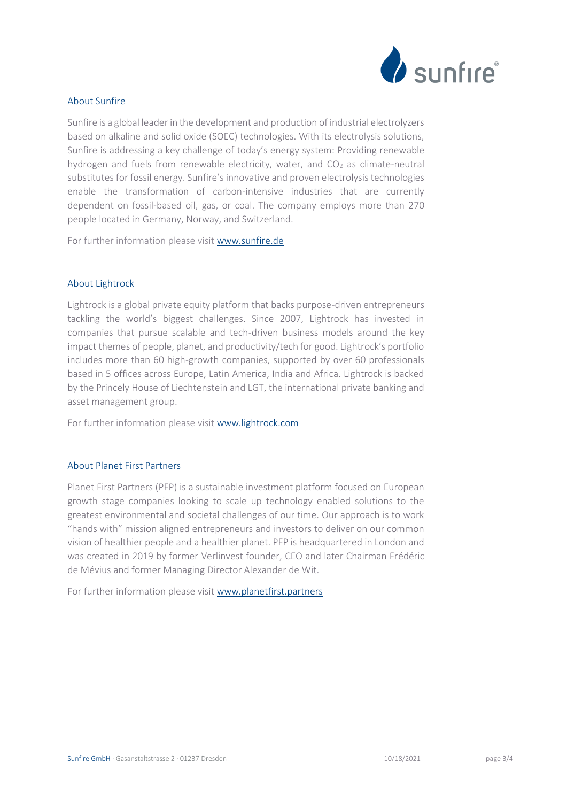

## About Sunfire

Sunfire is a global leader in the development and production of industrial electrolyzers based on alkaline and solid oxide (SOEC) technologies. With its electrolysis solutions, Sunfire is addressing a key challenge of today's energy system: Providing renewable hydrogen and fuels from renewable electricity, water, and  $CO<sub>2</sub>$  as climate-neutral substitutes for fossil energy. Sunfire's innovative and proven electrolysis technologies enable the transformation of carbon-intensive industries that are currently dependent on fossil-based oil, gas, or coal. The company employs more than 270 people located in Germany, Norway, and Switzerland.

For further information please visit [www.sunfire.de](http://www.sunfire.de/)

#### About Lightrock

Lightrock is a global private equity platform that backs purpose-driven entrepreneurs tackling the world's biggest challenges. Since 2007, Lightrock has invested in companies that pursue scalable and tech-driven business models around the key impact themes of people, planet, and productivity/tech for good. Lightrock's portfolio includes more than 60 high-growth companies, supported by over 60 professionals based in 5 offices across Europe, Latin America, India and Africa. Lightrock is backed by the Princely House of Liechtenstein and LGT, the international private banking and asset management group.

For further information please visit [www.lightrock.com](http://www.lightrock.com/)

#### About Planet First Partners

Planet First Partners (PFP) is a sustainable investment platform focused on European growth stage companies looking to scale up technology enabled solutions to the greatest environmental and societal challenges of our time. Our approach is to work "hands with" mission aligned entrepreneurs and investors to deliver on our common vision of healthier people and a healthier planet. PFP is headquartered in London and was created in 2019 by former Verlinvest founder, CEO and later Chairman Frédéric de Mévius and former Managing Director Alexander de Wit.

For further information please visi[t www.planetfirst.partners](http://www.planetfirst.partners/)